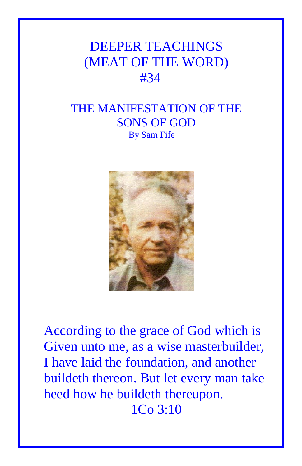## DEEPER TEACHINGS (MEAT OF THE WORD) #34

## THE MANIFESTATION OF THE SONS OF GOD By Sam Fife



According to the grace of God which is Given unto me, as a wise masterbuilder, I have laid the foundation, and another buildeth thereon. But let every man take heed how he buildeth thereupon. 1Co 3:10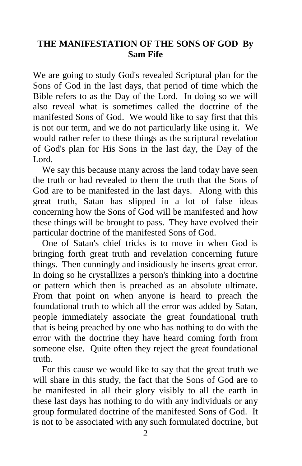## **THE MANIFESTATION OF THE SONS OF GOD By Sam Fife**

We are going to study God's revealed Scriptural plan for the Sons of God in the last days, that period of time which the Bible refers to as the Day of the Lord. In doing so we will also reveal what is sometimes called the doctrine of the manifested Sons of God. We would like to say first that this is not our term, and we do not particularly like using it. We would rather refer to these things as the scriptural revelation of God's plan for His Sons in the last day, the Day of the Lord.

 We say this because many across the land today have seen the truth or had revealed to them the truth that the Sons of God are to be manifested in the last days. Along with this great truth, Satan has slipped in a lot of false ideas concerning how the Sons of God will be manifested and how these things will be brought to pass. They have evolved their particular doctrine of the manifested Sons of God.

 One of Satan's chief tricks is to move in when God is bringing forth great truth and revelation concerning future things. Then cunningly and insidiously he inserts great error. In doing so he crystallizes a person's thinking into a doctrine or pattern which then is preached as an absolute ultimate. From that point on when anyone is heard to preach the foundational truth to which all the error was added by Satan, people immediately associate the great foundational truth that is being preached by one who has nothing to do with the error with the doctrine they have heard coming forth from someone else. Quite often they reject the great foundational truth.

 For this cause we would like to say that the great truth we will share in this study, the fact that the Sons of God are to be manifested in all their glory visibly to all the earth in these last days has nothing to do with any individuals or any group formulated doctrine of the manifested Sons of God. It is not to be associated with any such formulated doctrine, but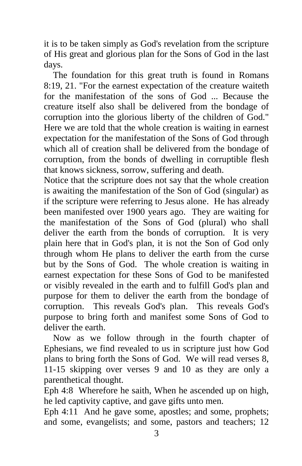it is to be taken simply as God's revelation from the scripture of His great and glorious plan for the Sons of God in the last days.

 The foundation for this great truth is found in Romans 8:19, 21. "For the earnest expectation of the creature waiteth for the manifestation of the sons of God ... Because the creature itself also shall be delivered from the bondage of corruption into the glorious liberty of the children of God." Here we are told that the whole creation is waiting in earnest expectation for the manifestation of the Sons of God through which all of creation shall be delivered from the bondage of corruption, from the bonds of dwelling in corruptible flesh that knows sickness, sorrow, suffering and death.

Notice that the scripture does not say that the whole creation is awaiting the manifestation of the Son of God (singular) as if the scripture were referring to Jesus alone. He has already been manifested over 1900 years ago. They are waiting for the manifestation of the Sons of God (plural) who shall deliver the earth from the bonds of corruption. It is very plain here that in God's plan, it is not the Son of God only through whom He plans to deliver the earth from the curse but by the Sons of God. The whole creation is waiting in earnest expectation for these Sons of God to be manifested or visibly revealed in the earth and to fulfill God's plan and purpose for them to deliver the earth from the bondage of corruption. This reveals God's plan. This reveals God's purpose to bring forth and manifest some Sons of God to deliver the earth.

 Now as we follow through in the fourth chapter of Ephesians, we find revealed to us in scripture just how God plans to bring forth the Sons of God. We will read verses 8, 11-15 skipping over verses 9 and 10 as they are only a parenthetical thought.

Eph 4:8 Wherefore he saith, When he ascended up on high, he led captivity captive, and gave gifts unto men.

Eph 4:11 And he gave some, apostles; and some, prophets; and some, evangelists; and some, pastors and teachers; 12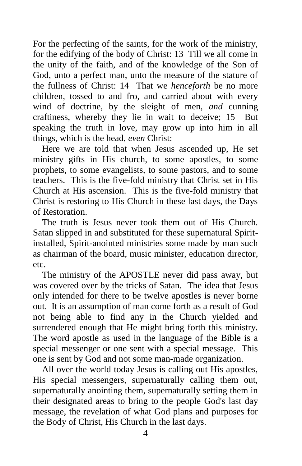For the perfecting of the saints, for the work of the ministry, for the edifying of the body of Christ: 13 Till we all come in the unity of the faith, and of the knowledge of the Son of God, unto a perfect man, unto the measure of the stature of the fullness of Christ: 14 That we *henceforth* be no more children, tossed to and fro, and carried about with every wind of doctrine, by the sleight of men, *and* cunning craftiness, whereby they lie in wait to deceive; 15 But speaking the truth in love, may grow up into him in all things, which is the head, *even* Christ:

 Here we are told that when Jesus ascended up, He set ministry gifts in His church, to some apostles, to some prophets, to some evangelists, to some pastors, and to some teachers. This is the five-fold ministry that Christ set in His Church at His ascension. This is the five-fold ministry that Christ is restoring to His Church in these last days, the Days of Restoration.

 The truth is Jesus never took them out of His Church. Satan slipped in and substituted for these supernatural Spiritinstalled, Spirit-anointed ministries some made by man such as chairman of the board, music minister, education director, etc.

 The ministry of the APOSTLE never did pass away, but was covered over by the tricks of Satan. The idea that Jesus only intended for there to be twelve apostles is never borne out. It is an assumption of man come forth as a result of God not being able to find any in the Church yielded and surrendered enough that He might bring forth this ministry. The word apostle as used in the language of the Bible is a special messenger or one sent with a special message. This one is sent by God and not some man-made organization.

 All over the world today Jesus is calling out His apostles, His special messengers, supernaturally calling them out, supernaturally anointing them, supernaturally setting them in their designated areas to bring to the people God's last day message, the revelation of what God plans and purposes for the Body of Christ, His Church in the last days.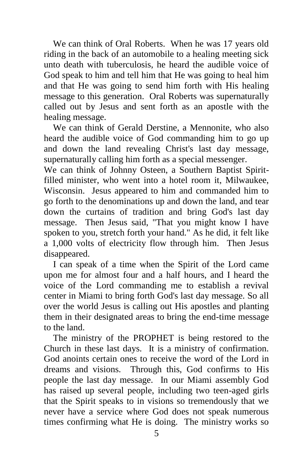We can think of Oral Roberts. When he was 17 years old riding in the back of an automobile to a healing meeting sick unto death with tuberculosis, he heard the audible voice of God speak to him and tell him that He was going to heal him and that He was going to send him forth with His healing message to this generation. Oral Roberts was supernaturally called out by Jesus and sent forth as an apostle with the healing message.

 We can think of Gerald Derstine, a Mennonite, who also heard the audible voice of God commanding him to go up and down the land revealing Christ's last day message, supernaturally calling him forth as a special messenger.

We can think of Johnny Osteen, a Southern Baptist Spiritfilled minister, who went into a hotel room it, Milwaukee, Wisconsin. Jesus appeared to him and commanded him to go forth to the denominations up and down the land, and tear down the curtains of tradition and bring God's last day message. Then Jesus said, "That you might know I have spoken to you, stretch forth your hand." As he did, it felt like a 1,000 volts of electricity flow through him. Then Jesus disappeared.

 I can speak of a time when the Spirit of the Lord came upon me for almost four and a half hours, and I heard the voice of the Lord commanding me to establish a revival center in Miami to bring forth God's last day message. So all over the world Jesus is calling out His apostles and planting them in their designated areas to bring the end-time message to the land.

 The ministry of the PROPHET is being restored to the Church in these last days. It is a ministry of confirmation. God anoints certain ones to receive the word of the Lord in dreams and visions. Through this, God confirms to His people the last day message. In our Miami assembly God has raised up several people, including two teen-aged girls that the Spirit speaks to in visions so tremendously that we never have a service where God does not speak numerous times confirming what He is doing. The ministry works so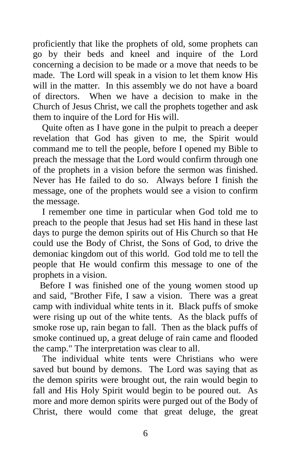proficiently that like the prophets of old, some prophets can go by their beds and kneel and inquire of the Lord concerning a decision to be made or a move that needs to be made. The Lord will speak in a vision to let them know His will in the matter. In this assembly we do not have a board of directors. When we have a decision to make in the Church of Jesus Christ, we call the prophets together and ask them to inquire of the Lord for His will.

 Quite often as I have gone in the pulpit to preach a deeper revelation that God has given to me, the Spirit would command me to tell the people, before I opened my Bible to preach the message that the Lord would confirm through one of the prophets in a vision before the sermon was finished. Never has He failed to do so. Always before I finish the message, one of the prophets would see a vision to confirm the message.

 I remember one time in particular when God told me to preach to the people that Jesus had set His hand in these last days to purge the demon spirits out of His Church so that He could use the Body of Christ, the Sons of God, to drive the demoniac kingdom out of this world. God told me to tell the people that He would confirm this message to one of the prophets in a vision.

 Before I was finished one of the young women stood up and said, "Brother Fife, I saw a vision. There was a great camp with individual white tents in it. Black puffs of smoke were rising up out of the white tents. As the black puffs of smoke rose up, rain began to fall. Then as the black puffs of smoke continued up, a great deluge of rain came and flooded the camp." The interpretation was clear to all.

 The individual white tents were Christians who were saved but bound by demons. The Lord was saying that as the demon spirits were brought out, the rain would begin to fall and His Holy Spirit would begin to be poured out. As more and more demon spirits were purged out of the Body of Christ, there would come that great deluge, the great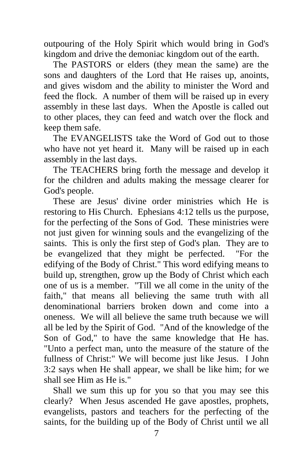outpouring of the Holy Spirit which would bring in God's kingdom and drive the demoniac kingdom out of the earth.

 The PASTORS or elders (they mean the same) are the sons and daughters of the Lord that He raises up, anoints, and gives wisdom and the ability to minister the Word and feed the flock. A number of them will be raised up in every assembly in these last days. When the Apostle is called out to other places, they can feed and watch over the flock and keep them safe.

 The EVANGELISTS take the Word of God out to those who have not yet heard it. Many will be raised up in each assembly in the last days.

 The TEACHERS bring forth the message and develop it for the children and adults making the message clearer for God's people.

 These are Jesus' divine order ministries which He is restoring to His Church. Ephesians 4:12 tells us the purpose, for the perfecting of the Sons of God. These ministries were not just given for winning souls and the evangelizing of the saints. This is only the first step of God's plan. They are to be evangelized that they might be perfected. "For the edifying of the Body of Christ." This word edifying means to build up, strengthen, grow up the Body of Christ which each one of us is a member. "Till we all come in the unity of the faith," that means all believing the same truth with all denominational barriers broken down and come into a oneness. We will all believe the same truth because we will all be led by the Spirit of God. "And of the knowledge of the Son of God," to have the same knowledge that He has. "Unto a perfect man, unto the measure of the stature of the fullness of Christ:" We will become just like Jesus. I John 3:2 says when He shall appear, we shall be like him; for we shall see Him as He is."

 Shall we sum this up for you so that you may see this clearly? When Jesus ascended He gave apostles, prophets, evangelists, pastors and teachers for the perfecting of the saints, for the building up of the Body of Christ until we all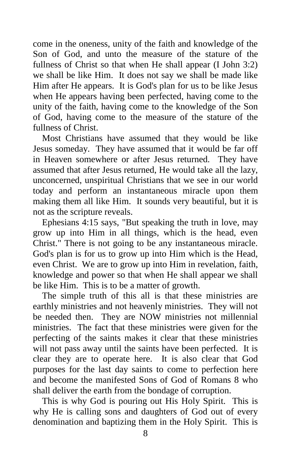come in the oneness, unity of the faith and knowledge of the Son of God, and unto the measure of the stature of the fullness of Christ so that when He shall appear (I John 3:2) we shall be like Him. It does not say we shall be made like Him after He appears. It is God's plan for us to be like Jesus when He appears having been perfected, having come to the unity of the faith, having come to the knowledge of the Son of God, having come to the measure of the stature of the fullness of Christ.

 Most Christians have assumed that they would be like Jesus someday. They have assumed that it would be far off in Heaven somewhere or after Jesus returned. They have assumed that after Jesus returned, He would take all the lazy, unconcerned, unspiritual Christians that we see in our world today and perform an instantaneous miracle upon them making them all like Him. It sounds very beautiful, but it is not as the scripture reveals.

 Ephesians 4:15 says, "But speaking the truth in love, may grow up into Him in all things, which is the head, even Christ." There is not going to be any instantaneous miracle. God's plan is for us to grow up into Him which is the Head, even Christ. We are to grow up into Him in revelation, faith, knowledge and power so that when He shall appear we shall be like Him. This is to be a matter of growth.

 The simple truth of this all is that these ministries are earthly ministries and not heavenly ministries. They will not be needed then. They are NOW ministries not millennial ministries. The fact that these ministries were given for the perfecting of the saints makes it clear that these ministries will not pass away until the saints have been perfected. It is clear they are to operate here. It is also clear that God purposes for the last day saints to come to perfection here and become the manifested Sons of God of Romans 8 who shall deliver the earth from the bondage of corruption.

 This is why God is pouring out His Holy Spirit. This is why He is calling sons and daughters of God out of every denomination and baptizing them in the Holy Spirit. This is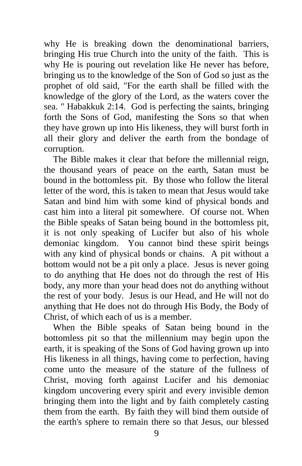why He is breaking down the denominational barriers, bringing His true Church into the unity of the faith. This is why He is pouring out revelation like He never has before, bringing us to the knowledge of the Son of God so just as the prophet of old said, "For the earth shall be filled with the knowledge of the glory of the Lord, as the waters cover the sea. " Habakkuk 2:14. God is perfecting the saints, bringing forth the Sons of God, manifesting the Sons so that when they have grown up into His likeness, they will burst forth in all their glory and deliver the earth from the bondage of corruption.

 The Bible makes it clear that before the millennial reign, the thousand years of peace on the earth, Satan must be bound in the bottomless pit. By those who follow the literal letter of the word, this is taken to mean that Jesus would take Satan and bind him with some kind of physical bonds and cast him into a literal pit somewhere. Of course not. When the Bible speaks of Satan being bound in the bottomless pit, it is not only speaking of Lucifer but also of his whole demoniac kingdom. You cannot bind these spirit beings with any kind of physical bonds or chains. A pit without a bottom would not be a pit only a place. Jesus is never going to do anything that He does not do through the rest of His body, any more than your head does not do anything without the rest of your body. Jesus is our Head, and He will not do anything that He does not do through His Body, the Body of Christ, of which each of us is a member.

 When the Bible speaks of Satan being bound in the bottomless pit so that the millennium may begin upon the earth, it is speaking of the Sons of God having grown up into His likeness in all things, having come to perfection, having come unto the measure of the stature of the fullness of Christ, moving forth against Lucifer and his demoniac kingdom uncovering every spirit and every invisible demon bringing them into the light and by faith completely casting them from the earth. By faith they will bind them outside of the earth's sphere to remain there so that Jesus, our blessed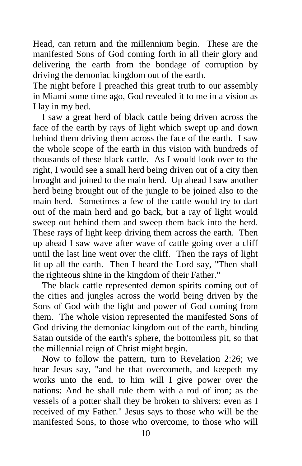Head, can return and the millennium begin. These are the manifested Sons of God coming forth in all their glory and delivering the earth from the bondage of corruption by driving the demoniac kingdom out of the earth.

The night before I preached this great truth to our assembly in Miami some time ago, God revealed it to me in a vision as I lay in my bed.

 I saw a great herd of black cattle being driven across the face of the earth by rays of light which swept up and down behind them driving them across the face of the earth. I saw the whole scope of the earth in this vision with hundreds of thousands of these black cattle. As I would look over to the right, I would see a small herd being driven out of a city then brought and joined to the main herd. Up ahead I saw another herd being brought out of the jungle to be joined also to the main herd. Sometimes a few of the cattle would try to dart out of the main herd and go back, but a ray of light would sweep out behind them and sweep them back into the herd. These rays of light keep driving them across the earth. Then up ahead I saw wave after wave of cattle going over a cliff until the last line went over the cliff. Then the rays of light lit up all the earth. Then I heard the Lord say, "Then shall the righteous shine in the kingdom of their Father."

 The black cattle represented demon spirits coming out of the cities and jungles across the world being driven by the Sons of God with the light and power of God coming from them. The whole vision represented the manifested Sons of God driving the demoniac kingdom out of the earth, binding Satan outside of the earth's sphere, the bottomless pit, so that the millennial reign of Christ might begin.

 Now to follow the pattern, turn to Revelation 2:26; we hear Jesus say, "and he that overcometh, and keepeth my works unto the end, to him will I give power over the nations: And he shall rule them with a rod of iron; as the vessels of a potter shall they be broken to shivers: even as I received of my Father." Jesus says to those who will be the manifested Sons, to those who overcome, to those who will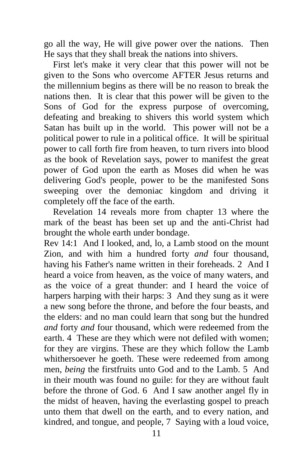go all the way, He will give power over the nations. Then He says that they shall break the nations into shivers.

 First let's make it very clear that this power will not be given to the Sons who overcome AFTER Jesus returns and the millennium begins as there will be no reason to break the nations then. It is clear that this power will be given to the Sons of God for the express purpose of overcoming, defeating and breaking to shivers this world system which Satan has built up in the world. This power will not be a political power to rule in a political office. It will be spiritual power to call forth fire from heaven, to turn rivers into blood as the book of Revelation says, power to manifest the great power of God upon the earth as Moses did when he was delivering God's people, power to be the manifested Sons sweeping over the demoniac kingdom and driving it completely off the face of the earth.

 Revelation 14 reveals more from chapter 13 where the mark of the beast has been set up and the anti-Christ had brought the whole earth under bondage.

Rev 14:1 And I looked, and, lo, a Lamb stood on the mount Zion, and with him a hundred forty *and* four thousand, having his Father's name written in their foreheads. 2 And I heard a voice from heaven, as the voice of many waters, and as the voice of a great thunder: and I heard the voice of harpers harping with their harps: 3 And they sung as it were a new song before the throne, and before the four beasts, and the elders: and no man could learn that song but the hundred *and* forty *and* four thousand, which were redeemed from the earth. 4 These are they which were not defiled with women; for they are virgins. These are they which follow the Lamb whithersoever he goeth. These were redeemed from among men, *being* the firstfruits unto God and to the Lamb. 5 And in their mouth was found no guile: for they are without fault before the throne of God. 6 And I saw another angel fly in the midst of heaven, having the everlasting gospel to preach unto them that dwell on the earth, and to every nation, and kindred, and tongue, and people, 7 Saying with a loud voice,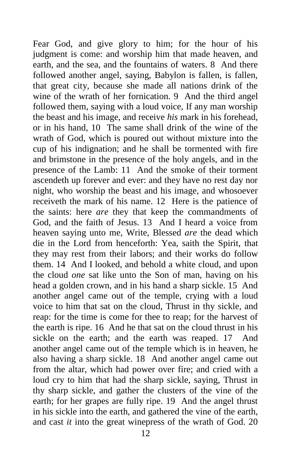Fear God, and give glory to him; for the hour of his judgment is come: and worship him that made heaven, and earth, and the sea, and the fountains of waters. 8 And there followed another angel, saying, Babylon is fallen, is fallen, that great city, because she made all nations drink of the wine of the wrath of her fornication. 9 And the third angel followed them, saying with a loud voice, If any man worship the beast and his image, and receive *his* mark in his forehead, or in his hand, 10 The same shall drink of the wine of the wrath of God, which is poured out without mixture into the cup of his indignation; and he shall be tormented with fire and brimstone in the presence of the holy angels, and in the presence of the Lamb: 11 And the smoke of their torment ascendeth up forever and ever: and they have no rest day nor night, who worship the beast and his image, and whosoever receiveth the mark of his name. 12 Here is the patience of the saints: here *are* they that keep the commandments of God, and the faith of Jesus. 13 And I heard a voice from heaven saying unto me, Write, Blessed *are* the dead which die in the Lord from henceforth: Yea, saith the Spirit, that they may rest from their labors; and their works do follow them. 14 And I looked, and behold a white cloud, and upon the cloud *one* sat like unto the Son of man, having on his head a golden crown, and in his hand a sharp sickle. 15 And another angel came out of the temple, crying with a loud voice to him that sat on the cloud, Thrust in thy sickle, and reap: for the time is come for thee to reap; for the harvest of the earth is ripe. 16 And he that sat on the cloud thrust in his sickle on the earth; and the earth was reaped. 17 And another angel came out of the temple which is in heaven, he also having a sharp sickle. 18 And another angel came out from the altar, which had power over fire; and cried with a loud cry to him that had the sharp sickle, saying, Thrust in thy sharp sickle, and gather the clusters of the vine of the earth; for her grapes are fully ripe. 19 And the angel thrust in his sickle into the earth, and gathered the vine of the earth, and cast *it* into the great winepress of the wrath of God. 20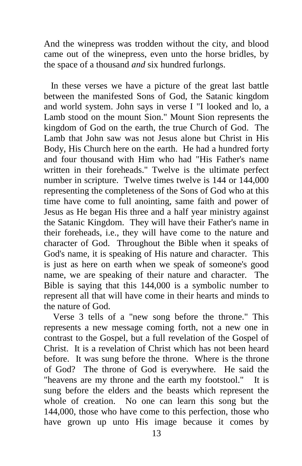And the winepress was trodden without the city, and blood came out of the winepress, even unto the horse bridles, by the space of a thousand *and* six hundred furlongs.

 In these verses we have a picture of the great last battle between the manifested Sons of God, the Satanic kingdom and world system. John says in verse I "I looked and lo, a Lamb stood on the mount Sion." Mount Sion represents the kingdom of God on the earth, the true Church of God. The Lamb that John saw was not Jesus alone but Christ in His Body, His Church here on the earth. He had a hundred forty and four thousand with Him who had "His Father's name written in their foreheads." Twelve is the ultimate perfect number in scripture. Twelve times twelve is 144 or 144,000 representing the completeness of the Sons of God who at this time have come to full anointing, same faith and power of Jesus as He began His three and a half year ministry against the Satanic Kingdom. They will have their Father's name in their foreheads, i.e., they will have come to the nature and character of God. Throughout the Bible when it speaks of God's name, it is speaking of His nature and character. This is just as here on earth when we speak of someone's good name, we are speaking of their nature and character. The Bible is saying that this 144,000 is a symbolic number to represent all that will have come in their hearts and minds to the nature of God.

 Verse 3 tells of a "new song before the throne." This represents a new message coming forth, not a new one in contrast to the Gospel, but a full revelation of the Gospel of Christ. It is a revelation of Christ which has not been heard before. It was sung before the throne. Where is the throne of God? The throne of God is everywhere. He said the "heavens are my throne and the earth my footstool." It is sung before the elders and the beasts which represent the whole of creation. No one can learn this song but the 144,000, those who have come to this perfection, those who have grown up unto His image because it comes by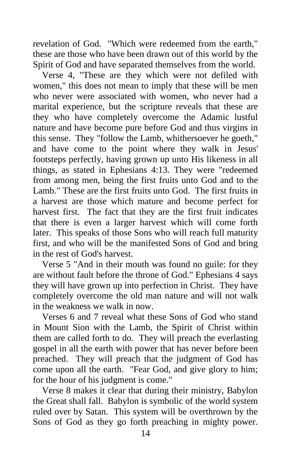revelation of God. "Which were redeemed from the earth," these are those who have been drawn out of this world by the Spirit of God and have separated themselves from the world.

 Verse 4, "These are they which were not defiled with women," this does not mean to imply that these will be men who never were associated with women, who never had a marital experience, but the scripture reveals that these are they who have completely overcome the Adamic lustful nature and have become pure before God and thus virgins in this sense. They "follow the Lamb, whithersoever he goeth," and have come to the point where they walk in Jesus' footsteps perfectly, having grown up unto His likeness in all things, as stated in Ephesians 4:13. They were "redeemed from among men, being the first fruits unto God and to the Lamb." These are the first fruits unto God. The first fruits in a harvest are those which mature and become perfect for harvest first. The fact that they are the first fruit indicates that there is even a larger harvest which will come forth later. This speaks of those Sons who will reach full maturity first, and who will be the manifested Sons of God and bring in the rest of God's harvest.

 Verse 5 "And in their mouth was found no guile: for they are without fault before the throne of God." Ephesians 4 says they will have grown up into perfection in Christ. They have completely overcome the old man nature and will not walk in the weakness we walk in now.

 Verses 6 and 7 reveal what these Sons of God who stand in Mount Sion with the Lamb, the Spirit of Christ within them are called forth to do. They will preach the everlasting gospel in all the earth with power that has never before been preached. They will preach that the judgment of God has come upon all the earth. "Fear God, and give glory to him; for the hour of his judgment is come."

 Verse 8 makes it clear that during their ministry, Babylon the Great shall fall. Babylon is symbolic of the world system ruled over by Satan. This system will be overthrown by the Sons of God as they go forth preaching in mighty power.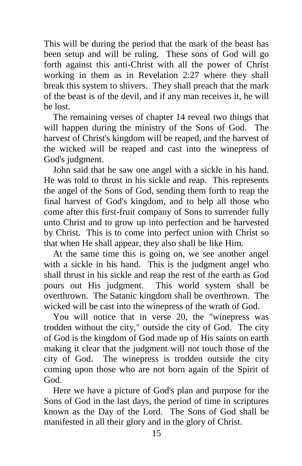This will be during the period that the mark of the beast has been setup and will be ruling. These sons of God will go forth against this anti-Christ with all the power of Christ working in them as in Revelation 2:27 where they shall break this system to shivers. They shall preach that the mark of the beast is of the devil, and if any man receives it, he will be lost.

 The remaining verses of chapter 14 reveal two things that will happen during the ministry of the Sons of God. The harvest of Christ's kingdom will be reaped, and the harvest of the wicked will be reaped and cast into the winepress of God's judgment.

 John said that he saw one angel with a sickle in his hand. He was told to thrust in his sickle and reap. This represents the angel of the Sons of God, sending them forth to reap the final harvest of God's kingdom, and to help all those who come after this first-fruit company of Sons to surrender fully unto Christ and to grow up into perfection and be harvested by Christ. This is to come into perfect union with Christ so that when He shall appear, they also shall be like Him.

 At the same time this is going on, we see another angel with a sickle in his hand. This is the judgment angel who shall thrust in his sickle and reap the rest of the earth as God pours out His judgment. This world system shall be overthrown. The Satanic kingdom shall be overthrown. The wicked will be cast into the winepress of the wrath of God.

 You will notice that in verse 20, the "winepress was trodden without the city," outside the city of God. The city of God is the kingdom of God made up of His saints on earth making it clear that the judgment will not touch those of the city of God. The winepress is trodden outside the city coming upon those who are not born again of the Spirit of God.

 Here we have a picture of God's plan and purpose for the Sons of God in the last days, the period of time in scriptures known as the Day of the Lord. The Sons of God shall be manifested in all their glory and in the glory of Christ.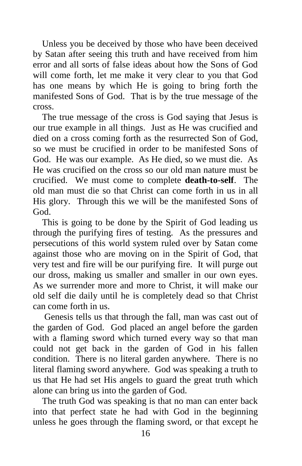Unless you be deceived by those who have been deceived by Satan after seeing this truth and have received from him error and all sorts of false ideas about how the Sons of God will come forth, let me make it very clear to you that God has one means by which He is going to bring forth the manifested Sons of God. That is by the true message of the cross.

 The true message of the cross is God saying that Jesus is our true example in all things. Just as He was crucified and died on a cross coming forth as the resurrected Son of God, so we must be crucified in order to be manifested Sons of God. He was our example. As He died, so we must die. As He was crucified on the cross so our old man nature must be crucified. We must come to complete **death-to-self**. The old man must die so that Christ can come forth in us in all His glory. Through this we will be the manifested Sons of God.

 This is going to be done by the Spirit of God leading us through the purifying fires of testing. As the pressures and persecutions of this world system ruled over by Satan come against those who are moving on in the Spirit of God, that very test and fire will be our purifying fire. It will purge out our dross, making us smaller and smaller in our own eyes. As we surrender more and more to Christ, it will make our old self die daily until he is completely dead so that Christ can come forth in us.

 Genesis tells us that through the fall, man was cast out of the garden of God. God placed an angel before the garden with a flaming sword which turned every way so that man could not get back in the garden of God in his fallen condition. There is no literal garden anywhere. There is no literal flaming sword anywhere. God was speaking a truth to us that He had set His angels to guard the great truth which alone can bring us into the garden of God.

 The truth God was speaking is that no man can enter back into that perfect state he had with God in the beginning unless he goes through the flaming sword, or that except he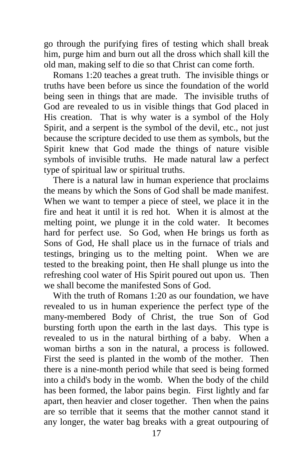go through the purifying fires of testing which shall break him, purge him and burn out all the dross which shall kill the old man, making self to die so that Christ can come forth.

 Romans 1:20 teaches a great truth. The invisible things or truths have been before us since the foundation of the world being seen in things that are made. The invisible truths of God are revealed to us in visible things that God placed in His creation. That is why water is a symbol of the Holy Spirit, and a serpent is the symbol of the devil, etc., not just because the scripture decided to use them as symbols, but the Spirit knew that God made the things of nature visible symbols of invisible truths. He made natural law a perfect type of spiritual law or spiritual truths.

 There is a natural law in human experience that proclaims the means by which the Sons of God shall be made manifest. When we want to temper a piece of steel, we place it in the fire and heat it until it is red hot. When it is almost at the melting point, we plunge it in the cold water. It becomes hard for perfect use. So God, when He brings us forth as Sons of God, He shall place us in the furnace of trials and testings, bringing us to the melting point. When we are tested to the breaking point, then He shall plunge us into the refreshing cool water of His Spirit poured out upon us. Then we shall become the manifested Sons of God.

With the truth of Romans  $1:20$  as our foundation, we have revealed to us in human experience the perfect type of the many-membered Body of Christ, the true Son of God bursting forth upon the earth in the last days. This type is revealed to us in the natural birthing of a baby. When a woman births a son in the natural, a process is followed. First the seed is planted in the womb of the mother. Then there is a nine-month period while that seed is being formed into a child's body in the womb. When the body of the child has been formed, the labor pains begin. First lightly and far apart, then heavier and closer together. Then when the pains are so terrible that it seems that the mother cannot stand it any longer, the water bag breaks with a great outpouring of